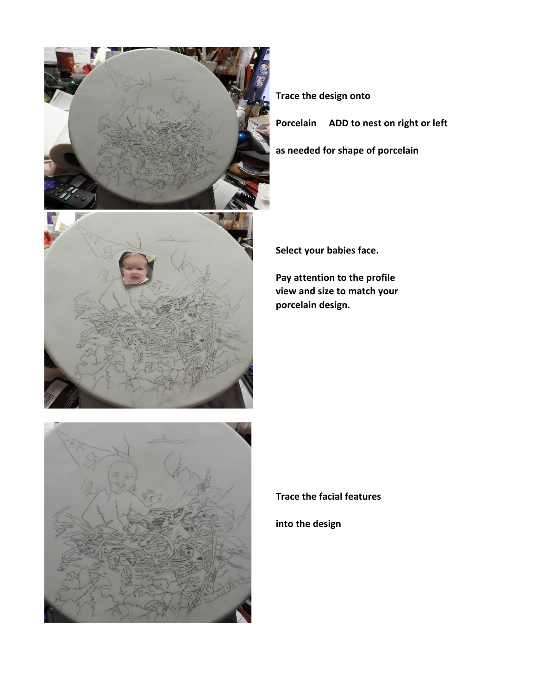

**Trace the design onto** 

**Porcelain ADD to nest on right or left**

**as needed for shape of porcelain**



**Select your babies face.**

**Pay attention to the profile view and size to match your porcelain design.**



**Trace the facial features**

**into the design**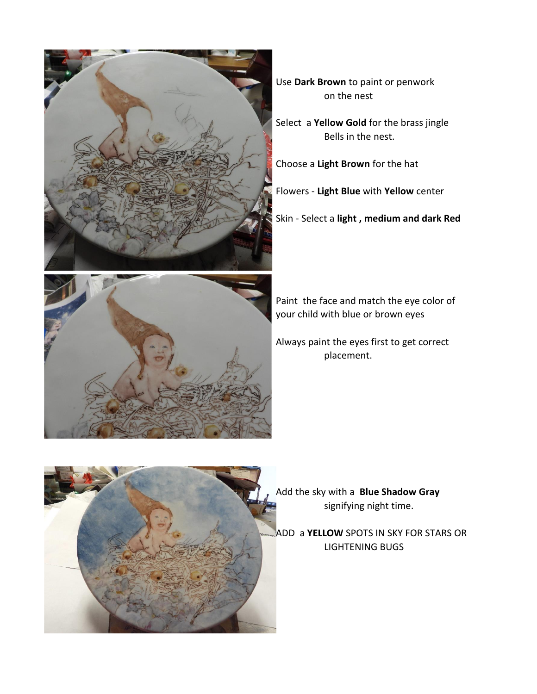

Use **Dark Brown** to paint or penwork on the nest

Select a **Yellow Gold** for the brass jingle Bells in the nest.

Choose a **Light Brown** for the hat

Flowers - **Light Blue** with **Yellow** center

Skin - Select a **light , medium and dark Red**



Paint the face and match the eye color of your child with blue or brown eyes

Always paint the eyes first to get correct placement.



Add the sky with a **Blue Shadow Gray** signifying night time.

ADD a **YELLOW** SPOTS IN SKY FOR STARS OR LIGHTENING BUGS